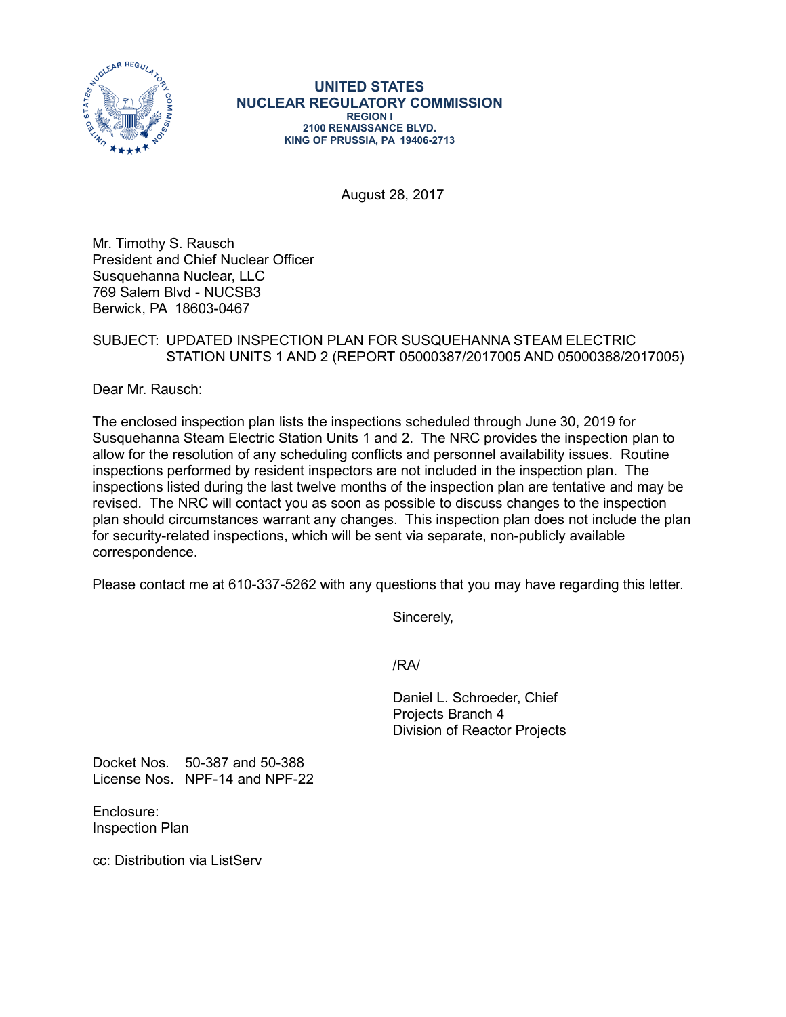

**UNITED STATES NUCLEAR REGULATORY COMMISSION REGION I 2100 RENAISSANCE BLVD. KING OF PRUSSIA, PA 19406-2713**

August 28, 2017

Mr. Timothy S. Rausch President and Chief Nuclear Officer Susquehanna Nuclear, LLC 769 Salem Blvd - NUCSB3 Berwick, PA 18603-0467

## SUBJECT: UPDATED INSPECTION PLAN FOR SUSQUEHANNA STEAM ELECTRIC STATION UNITS 1 AND 2 (REPORT 05000387/2017005 AND 05000388/2017005)

Dear Mr. Rausch:

The enclosed inspection plan lists the inspections scheduled through June 30, 2019 for Susquehanna Steam Electric Station Units 1 and 2. The NRC provides the inspection plan to allow for the resolution of any scheduling conflicts and personnel availability issues. Routine inspections performed by resident inspectors are not included in the inspection plan. The inspections listed during the last twelve months of the inspection plan are tentative and may be revised. The NRC will contact you as soon as possible to discuss changes to the inspection plan should circumstances warrant any changes. This inspection plan does not include the plan for security-related inspections, which will be sent via separate, non-publicly available correspondence.

Please contact me at 610-337-5262 with any questions that you may have regarding this letter.

Sincerely,

/RA/

Daniel L. Schroeder, Chief Projects Branch 4 Division of Reactor Projects

Docket Nos. 50-387 and 50-388 License Nos. NPF-14 and NPF-22

Enclosure: Inspection Plan

cc: Distribution via ListServ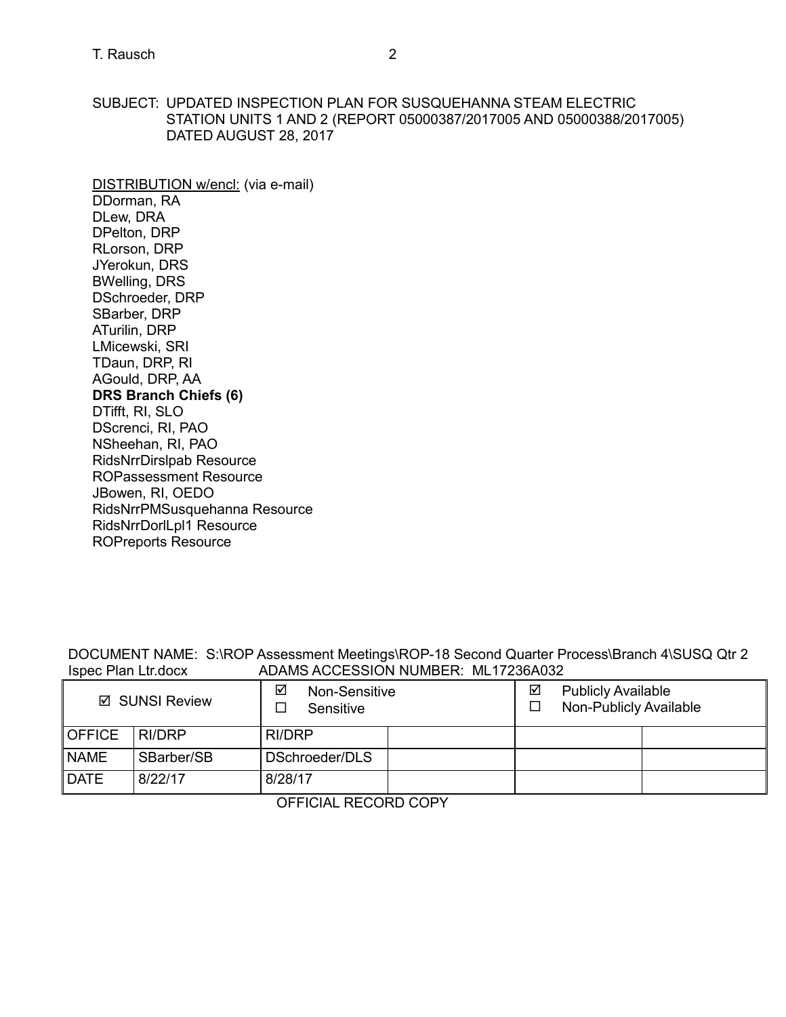SUBJECT: UPDATED INSPECTION PLAN FOR SUSQUEHANNA STEAM ELECTRIC STATION UNITS 1 AND 2 (REPORT 05000387/2017005 AND 05000388/2017005) DATED AUGUST 28, 2017

DISTRIBUTION w/encl: (via e-mail) DDorman, RA DLew, DRA DPelton, DRP RLorson, DRP JYerokun, DRS BWelling, DRS DSchroeder, DRP SBarber, DRP ATurilin, DRP LMicewski, SRI TDaun, DRP, RI AGould, DRP, AA **DRS Branch Chiefs (6)** DTifft, RI, SLO DScrenci, RI, PAO NSheehan, RI, PAO [RidsNrrDirslpab Resource](mailto:RidsNrrDirslpab@nrc.gov)  ROPassessment Resource JBowen, RI, OEDO RidsNrrPMSusquehanna Resource RidsNrrDorlLpl1 Resource ROPreports Resource

DOCUMENT NAME: S:\ROP Assessment Meetings\ROP-18 Second Quarter Process\Branch 4\SUSQ Qtr 2 ADAMS ACCESSION NUMBER: ML17236A032

| ☑ SUNSI Review |            | ☑<br>Non-Sensitive<br>Sensitive |  |  | ☑<br><b>Publicly Available</b><br>Non-Publicly Available |  |  |
|----------------|------------|---------------------------------|--|--|----------------------------------------------------------|--|--|
| <b>OFFICE</b>  | RI/DRP     | RI/DRP                          |  |  |                                                          |  |  |
| <b>NAME</b>    | SBarber/SB | DSchroeder/DLS                  |  |  |                                                          |  |  |
| <b>DATE</b>    | 8/22/17    | 8/28/17                         |  |  |                                                          |  |  |

OFFICIAL RECORD COPY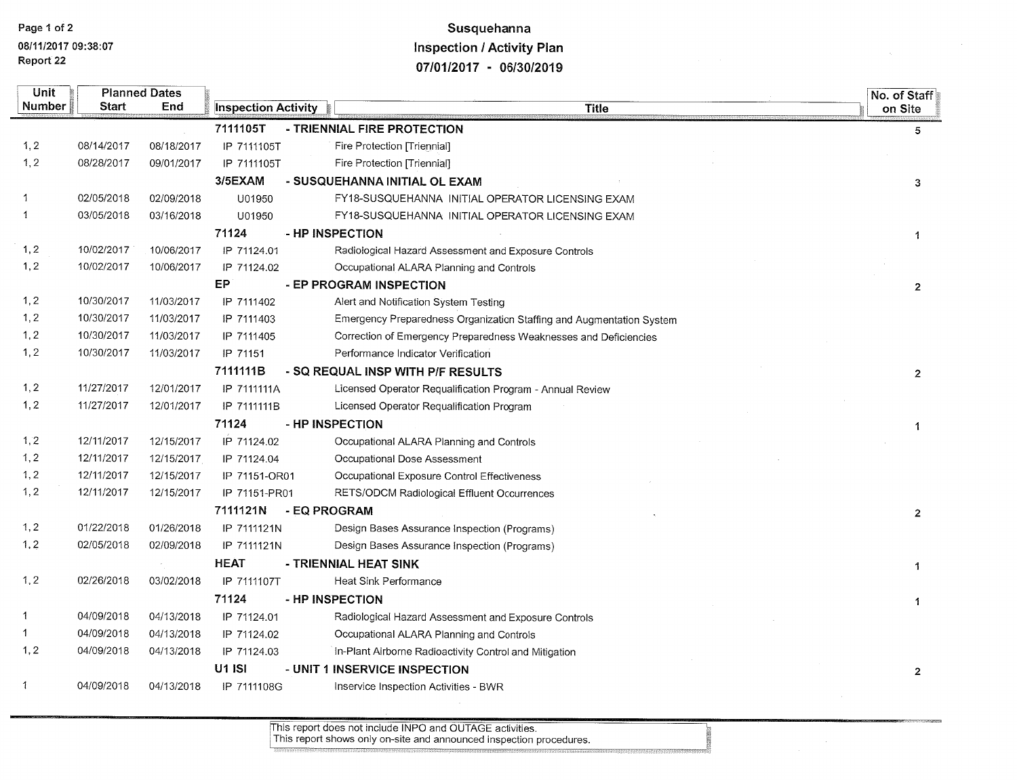## Susquehanna **Inspection / Activity Plan** 07/01/2017 - 06/30/2019

| Unit   |            | <b>Planned Dates</b> |                            |              |                                                                      | No. of Staff   |
|--------|------------|----------------------|----------------------------|--------------|----------------------------------------------------------------------|----------------|
| Number | Start      | End                  | <b>Inspection Activity</b> |              | <b>Title</b>                                                         | on Site        |
|        |            |                      | 7111105T                   |              | - TRIENNIAL FIRE PROTECTION                                          | $5^{\circ}$    |
| 1, 2   | 08/14/2017 | 08/18/2017           | IP 7111105T                |              | Fire Protection [Triennial]                                          |                |
| 1, 2   | 08/28/2017 | 09/01/2017           | IP 7111105T                |              | Fire Protection [Triennial]                                          |                |
|        |            |                      | 3/5EXAM                    |              | - SUSQUEHANNA INITIAL OL EXAM                                        | 3              |
| 1      | 02/05/2018 | 02/09/2018           | U01950                     |              | FY18-SUSQUEHANNA INITIAL OPERATOR LICENSING EXAM                     |                |
| 1      | 03/05/2018 | 03/16/2018           | U01950                     |              | FY18-SUSQUEHANNA INITIAL OPERATOR LICENSING EXAM                     |                |
|        |            |                      | 71124                      |              | - HP INSPECTION                                                      | 1              |
| 1, 2   | 10/02/2017 | 10/06/2017           | IP 71124.01                |              | Radiological Hazard Assessment and Exposure Controls                 |                |
| 1, 2   | 10/02/2017 | 10/06/2017           | IP 71124.02                |              | Occupational ALARA Planning and Controls                             |                |
|        |            |                      | EP                         |              | - EP PROGRAM INSPECTION                                              | $\overline{2}$ |
| 1, 2   | 10/30/2017 | 11/03/2017           | IP 7111402                 |              | Alert and Notification System Testing                                |                |
| 1, 2   | 10/30/2017 | 11/03/2017           | IP 7111403                 |              | Emergency Preparedness Organization Staffing and Augmentation System |                |
| 1, 2   | 10/30/2017 | 11/03/2017           | IP 7111405                 |              | Correction of Emergency Preparedness Weaknesses and Deficiencies     |                |
| 1, 2   | 10/30/2017 | 11/03/2017           | IP 71151                   |              | Performance Indicator Verification                                   |                |
|        |            |                      | 7111111B                   |              | - SQ REQUAL INSP WITH P/F RESULTS                                    | $\overline{2}$ |
| 1, 2   | 11/27/2017 | 12/01/2017           | IP 7111111A                |              | Licensed Operator Requalification Program - Annual Review            |                |
| 1, 2   | 11/27/2017 | 12/01/2017           | IP 7111111B                |              | Licensed Operator Requalification Program                            |                |
|        |            |                      | 71124                      |              | - HP INSPECTION                                                      | 1              |
| 1, 2   | 12/11/2017 | 12/15/2017           | IP 71124.02                |              | Occupational ALARA Planning and Controls                             |                |
| 1, 2   | 12/11/2017 | 12/15/2017           | IP 71124.04                |              | Occupational Dose Assessment                                         |                |
| 1, 2   | 12/11/2017 | 12/15/2017           | IP 71151-OR01              |              | Occupational Exposure Control Effectiveness                          |                |
| 1, 2   | 12/11/2017 | 12/15/2017           | IP 71151-PR01              |              | RETS/ODCM Radiological Effluent Occurrences                          |                |
|        |            |                      | 7111121N                   | - EQ PROGRAM |                                                                      | $\overline{2}$ |
| 1, 2   | 01/22/2018 | 01/26/2018           | IP 7111121N                |              | Design Bases Assurance Inspection (Programs)                         |                |
| 1, 2   | 02/05/2018 | 02/09/2018           | IP 7111121N                |              | Design Bases Assurance Inspection (Programs)                         |                |
|        |            |                      | <b>HEAT</b>                |              | - TRIENNIAL HEAT SINK                                                | 1              |
| 1, 2   | 02/26/2018 | 03/02/2018           | IP 7111107T                |              | Heat Sink Performance                                                |                |
|        |            |                      | 71124                      |              | - HP INSPECTION                                                      | 1              |
| 1      | 04/09/2018 | 04/13/2018           | IP 71124.01                |              | Radiological Hazard Assessment and Exposure Controls                 |                |
| 1      | 04/09/2018 | 04/13/2018           | IP 71124.02                |              | Occupational ALARA Planning and Controls                             |                |
| 1, 2   | 04/09/2018 | 04/13/2018           | IP 71124.03                |              | In-Plant Airborne Radioactivity Control and Mitigation               |                |
|        |            |                      | <b>U1 ISI</b>              |              | - UNIT 1 INSERVICE INSPECTION                                        | $\mathbf{2}$   |
| 1      | 04/09/2018 | 04/13/2018           | IP 7111108G                |              | Inservice Inspection Activities - BWR                                |                |
|        |            |                      |                            |              |                                                                      |                |

This report does not include INPO and OUTAGE activities.<br>This report shows only on-site and announced inspection procedures.

 $\sim 10^{-1}$